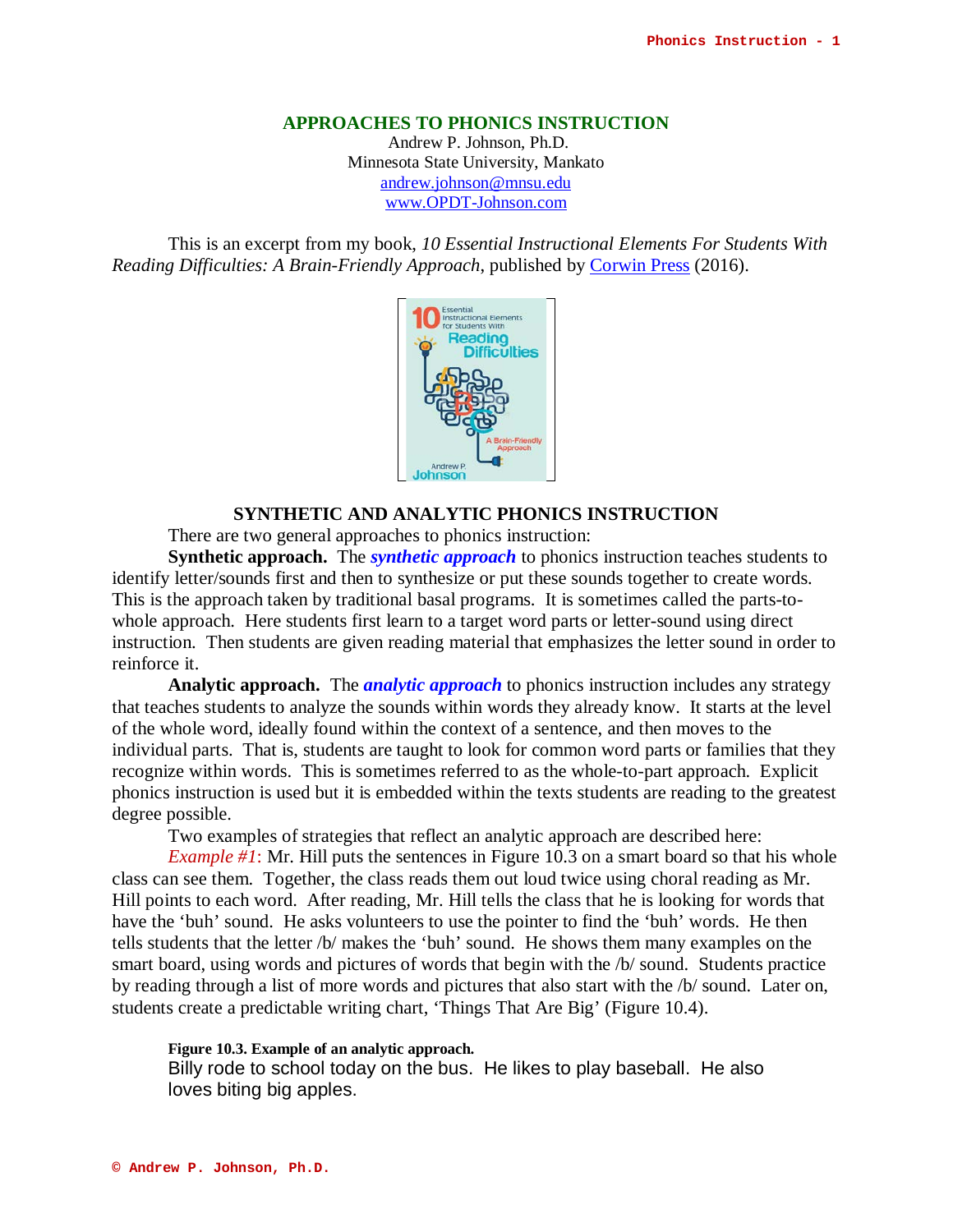### **APPROACHES TO PHONICS INSTRUCTION**

Andrew P. Johnson, Ph.D. Minnesota State University, Mankato [andrew.johnson@mnsu.edu](mailto:andrew.johnson@mnsu.edu) www.OPDT-Johnson.com

This is an excerpt from my book, *10 Essential Instructional Elements For Students With Reading Difficulties: A Brain-Friendly Approach*, published by [Corwin Press](http://www.corwin.com/) (2016).



# **SYNTHETIC AND ANALYTIC PHONICS INSTRUCTION**

There are two general approaches to phonics instruction:

**Synthetic approach.** The *synthetic approach* to phonics instruction teaches students to identify letter/sounds first and then to synthesize or put these sounds together to create words. This is the approach taken by traditional basal programs. It is sometimes called the parts-towhole approach. Here students first learn to a target word parts or letter-sound using direct instruction. Then students are given reading material that emphasizes the letter sound in order to reinforce it.

**Analytic approach.** The *analytic approach* to phonics instruction includes any strategy that teaches students to analyze the sounds within words they already know. It starts at the level of the whole word, ideally found within the context of a sentence, and then moves to the individual parts. That is, students are taught to look for common word parts or families that they recognize within words. This is sometimes referred to as the whole-to-part approach. Explicit phonics instruction is used but it is embedded within the texts students are reading to the greatest degree possible.

Two examples of strategies that reflect an analytic approach are described here:

*Example #1*: Mr. Hill puts the sentences in Figure 10.3 on a smart board so that his whole class can see them. Together, the class reads them out loud twice using choral reading as Mr. Hill points to each word. After reading, Mr. Hill tells the class that he is looking for words that have the 'buh' sound. He asks volunteers to use the pointer to find the 'buh' words. He then tells students that the letter /b/ makes the 'buh' sound. He shows them many examples on the smart board, using words and pictures of words that begin with the /b/ sound. Students practice by reading through a list of more words and pictures that also start with the /b/ sound. Later on, students create a predictable writing chart, 'Things That Are Big' (Figure 10.4).

### **Figure 10.3. Example of an analytic approach.**

Billy rode to school today on the bus. He likes to play baseball. He also loves biting big apples.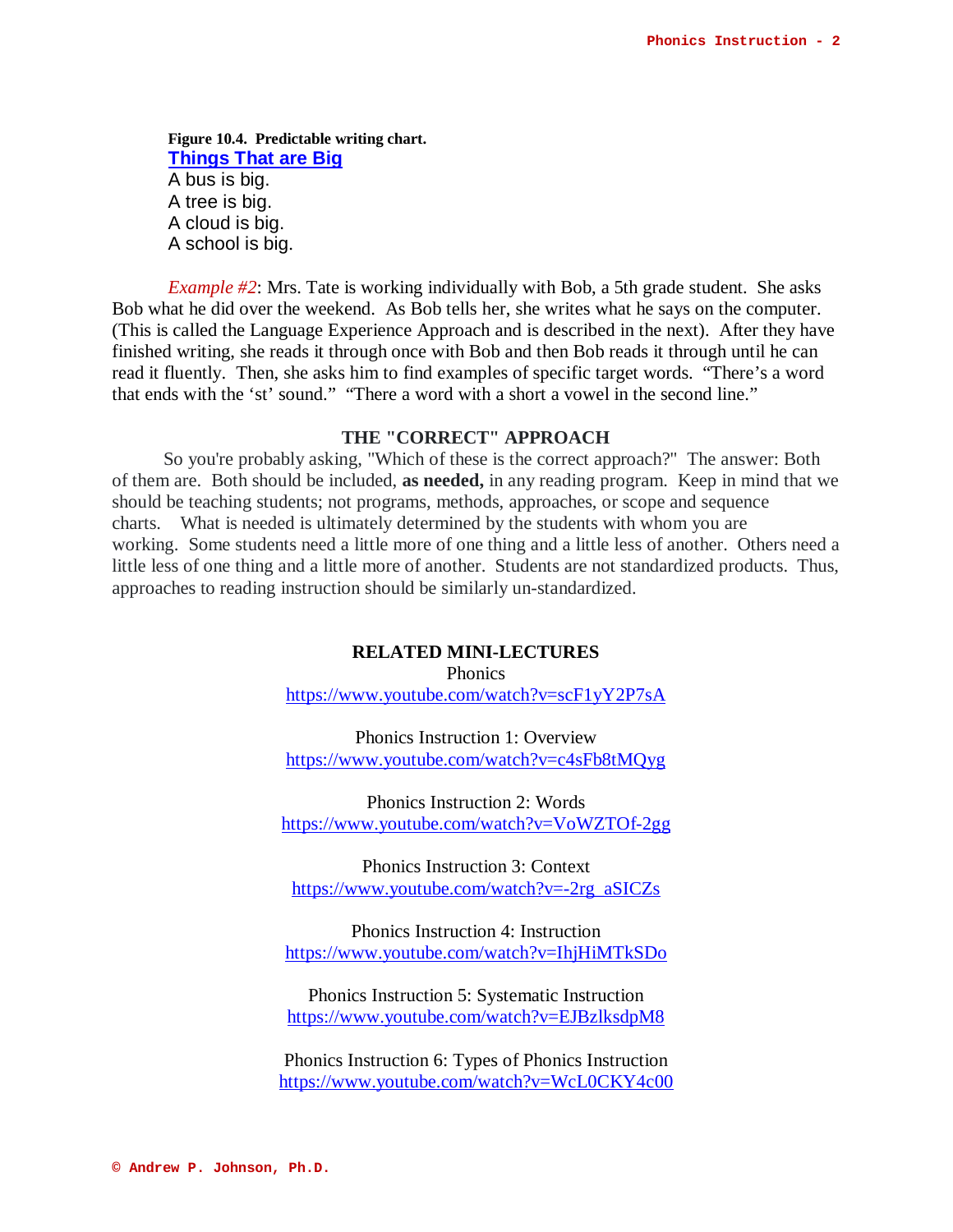**Figure 10.4. Predictable writing chart. Things That are Big** A bus is big. A tree is big. A cloud is big. A school is big.

*Example #2*: Mrs. Tate is working individually with Bob, a 5th grade student. She asks Bob what he did over the weekend. As Bob tells her, she writes what he says on the computer. (This is called the Language Experience Approach and is described in the next). After they have finished writing, she reads it through once with Bob and then Bob reads it through until he can read it fluently. Then, she asks him to find examples of specific target words. "There's a word that ends with the 'st' sound." "There a word with a short a vowel in the second line."

# **THE "CORRECT" APPROACH**

So you're probably asking, "Which of these is the correct approach?" The answer: Both of them are. Both should be included, **as needed,** in any reading program. Keep in mind that we should be teaching students; not programs, methods, approaches, or scope and sequence charts. What is needed is ultimately determined by the students with whom you are working. Some students need a little more of one thing and a little less of another. Others need a little less of one thing and a little more of another. Students are not standardized products. Thus, approaches to reading instruction should be similarly un-standardized.

## **RELATED MINI-LECTURES**

Phonics <https://www.youtube.com/watch?v=scF1yY2P7sA>

Phonics Instruction 1: Overview <https://www.youtube.com/watch?v=c4sFb8tMQyg>

Phonics Instruction 2: Words <https://www.youtube.com/watch?v=VoWZTOf-2gg>

Phonics Instruction 3: Context [https://www.youtube.com/watch?v=-2rg\\_aSICZs](https://www.youtube.com/watch?v=-2rg_aSICZs)

Phonics Instruction 4: Instruction <https://www.youtube.com/watch?v=IhjHiMTkSDo>

Phonics Instruction 5: Systematic Instruction <https://www.youtube.com/watch?v=EJBzlksdpM8>

Phonics Instruction 6: Types of Phonics Instruction <https://www.youtube.com/watch?v=WcL0CKY4c00>